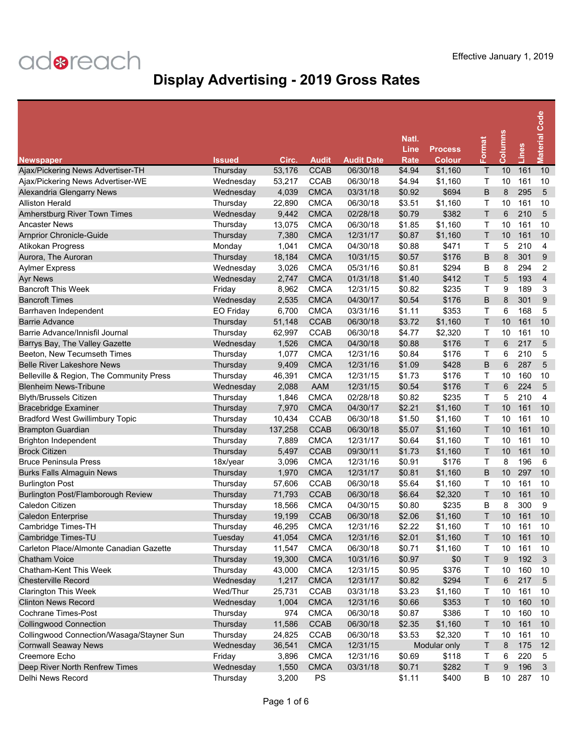| <b>Newspaper</b>                          | <b>Issued</b> | Circ.   | Audit       | <b>Audit Date</b> | Natl.<br>Line<br>Rate | <b>Process</b><br><b>Colour</b> | Format       | <b>Columns</b>  | Lines | <b>Material Code</b>    |
|-------------------------------------------|---------------|---------|-------------|-------------------|-----------------------|---------------------------------|--------------|-----------------|-------|-------------------------|
| Ajax/Pickering News Advertiser-TH         | Thursday      | 53,176  | <b>CCAB</b> | 06/30/18          | \$4.94                | \$1,160                         | Τ            | 10              | 161   | 10                      |
| Ajax/Pickering News Advertiser-WE         | Wednesday     | 53,217  | <b>CCAB</b> | 06/30/18          | \$4.94                | \$1,160                         | Τ            | 10              | 161   | 10                      |
| Alexandria Glengarry News                 | Wednesday     | 4,039   | <b>CMCA</b> | 03/31/18          | \$0.92                | \$694                           | B            | 8               | 295   | 5                       |
| <b>Alliston Herald</b>                    | Thursday      | 22,890  | <b>CMCA</b> | 06/30/18          | \$3.51                | \$1,160                         | т            | 10              | 161   | 10                      |
| Amherstburg River Town Times              | Wednesday     | 9,442   | <b>CMCA</b> | 02/28/18          | \$0.79                | \$382                           | T            | 6               | 210   | 5                       |
| <b>Ancaster News</b>                      | Thursday      | 13,075  | <b>CMCA</b> | 06/30/18          | \$1.85                | \$1,160                         | т            | 10              | 161   | 10                      |
| <b>Arnprior Chronicle-Guide</b>           | Thursday      | 7,380   | <b>CMCA</b> | 12/31/17          | \$0.87                | \$1,160                         | T            | 10              | 161   | 10                      |
| Atikokan Progress                         | Monday        | 1,041   | <b>CMCA</b> | 04/30/18          | \$0.88                | \$471                           | Τ            | 5               | 210   | 4                       |
| Aurora, The Auroran                       | Thursday      | 18,184  | <b>CMCA</b> | 10/31/15          | \$0.57                | \$176                           | B            | 8               | 301   | 9                       |
| <b>Aylmer Express</b>                     | Wednesday     | 3,026   | <b>CMCA</b> | 05/31/16          | \$0.81                | \$294                           | B            | 8               | 294   | 2                       |
| <b>Ayr News</b>                           | Wednesday     | 2,747   | <b>CMCA</b> | 01/31/18          | \$1.40                | \$412                           | T            | 5               | 193   | $\overline{\mathbf{4}}$ |
| <b>Bancroft This Week</b>                 | Friday        | 8,962   | <b>CMCA</b> | 12/31/15          | \$0.82                | \$235                           | т            | 9               | 189   | 3                       |
| <b>Bancroft Times</b>                     | Wednesday     | 2,535   | <b>CMCA</b> | 04/30/17          | \$0.54                | \$176                           | B            | 8               | 301   | 9                       |
| Barrhaven Independent                     | EO Friday     | 6,700   | <b>CMCA</b> | 03/31/16          | \$1.11                | \$353                           | Τ            | 6               | 168   | 5                       |
| <b>Barrie Advance</b>                     | Thursday      | 51,148  | <b>CCAB</b> | 06/30/18          | \$3.72                | \$1,160                         | T            | 10              | 161   | 10                      |
| Barrie Advance/Innisfil Journal           | Thursday      | 62,997  | <b>CCAB</b> | 06/30/18          | \$4.77                | \$2,320                         | Τ            | 10              | 161   | 10                      |
| Barrys Bay, The Valley Gazette            | Wednesday     | 1,526   | <b>CMCA</b> | 04/30/18          | \$0.88                | \$176                           | T            | $6\phantom{1}6$ | 217   | 5                       |
| Beeton, New Tecumseth Times               | Thursday      | 1,077   | <b>CMCA</b> | 12/31/16          | \$0.84                | \$176                           | т            | 6               | 210   | 5                       |
| <b>Belle River Lakeshore News</b>         | Thursday      | 9,409   | <b>CMCA</b> | 12/31/16          | \$1.09                | \$428                           | B            | 6               | 287   | 5                       |
| Belleville & Region, The Community Press  | Thursday      | 46,391  | <b>CMCA</b> | 12/31/15          | \$1.73                | \$176                           | Τ            | 10              | 160   | 10                      |
| <b>Blenheim News-Tribune</b>              | Wednesday     | 2,088   | AAM         | 12/31/15          | \$0.54                | \$176                           | T            | 6               | 224   | 5                       |
| <b>Blyth/Brussels Citizen</b>             | Thursday      | 1,846   | <b>CMCA</b> | 02/28/18          | \$0.82                | \$235                           | T            | 5               | 210   | 4                       |
| <b>Bracebridge Examiner</b>               | Thursday      | 7,970   | <b>CMCA</b> | 04/30/17          | \$2.21                | \$1,160                         | T            | 10              | 161   | 10                      |
| <b>Bradford West Gwillimbury Topic</b>    | Thursday      | 10,434  | <b>CCAB</b> | 06/30/18          | \$1.50                | \$1,160                         | Τ            | 10              | 161   | 10                      |
| <b>Brampton Guardian</b>                  | Thursday      | 137,258 | <b>CCAB</b> | 06/30/18          | \$5.07                | \$1,160                         | T            | 10              | 161   | 10                      |
| <b>Brighton Independent</b>               | Thursday      | 7,889   | <b>CMCA</b> | 12/31/17          | \$0.64                | \$1,160                         | Τ            | 10              | 161   | 10                      |
| <b>Brock Citizen</b>                      | Thursday      | 5,497   | <b>CCAB</b> | 09/30/11          | \$1.73                | \$1,160                         | T            | 10              | 161   | 10                      |
| <b>Bruce Peninsula Press</b>              | 18x/year      | 3,096   | <b>CMCA</b> | 12/31/16          | \$0.91                | \$176                           | Τ            | 8               | 196   | 6                       |
| <b>Burks Falls Almaguin News</b>          | Thursday      | 1,970   | <b>CMCA</b> | 12/31/17          | \$0.81                | \$1,160                         | B            | 10              | 297   | 10                      |
| <b>Burlington Post</b>                    | Thursday      | 57,606  | CCAB        | 06/30/18          | \$5.64                | \$1,160                         | Τ            | 10              | 161   | 10                      |
| Burlington Post/Flamborough Review        | Thursday      | 71,793  | <b>CCAB</b> | 06/30/18          | \$6.64                | \$2,320                         | T            | 10              | 161   | 10                      |
| Caledon Citizen                           | Thursday      | 18,566  | <b>CMCA</b> | 04/30/15          | \$0.80                | \$235                           | в            | 8               | 300   | 9                       |
| <b>Caledon Enterprise</b>                 | Thursday      | 19,199  | <b>CCAB</b> | 06/30/18          | \$2.06                | \$1,160                         | Т            | 10              | 161   | 10                      |
| Cambridge Times-TH                        | Thursday      | 46,295  | <b>CMCA</b> | 12/31/16          | \$2.22                | \$1,160                         | т            | 10              | 161   | 10                      |
| Cambridge Times-TU                        | Tuesday       | 41,054  | <b>CMCA</b> | 12/31/16          | \$2.01                | \$1,160                         | Τ            | 10              | 161   | 10                      |
| Carleton Place/Almonte Canadian Gazette   | Thursday      | 11,547  | <b>CMCA</b> | 06/30/18          | \$0.71                | \$1,160                         | т            | 10              | 161   | 10                      |
| <b>Chatham Voice</b>                      | Thursday      | 19,300  | <b>CMCA</b> | 10/31/16          | \$0.97                | \$0                             | $\mathsf{T}$ | 9               | 192   | $\mathbf{3}$            |
| Chatham-Kent This Week                    | Thursday      | 43,000  | <b>CMCA</b> | 12/31/15          | \$0.95                | \$376                           | Τ            | 10              | 160   | 10                      |
| <b>Chesterville Record</b>                | Wednesday     | 1,217   | <b>CMCA</b> | 12/31/17          | \$0.82                | \$294                           | Τ            | 6               | 217   | 5                       |
| <b>Clarington This Week</b>               | Wed/Thur      | 25,731  | <b>CCAB</b> | 03/31/18          | \$3.23                | \$1,160                         | т            | 10              | 161   | 10                      |
| <b>Clinton News Record</b>                | Wednesday     | 1,004   | <b>CMCA</b> | 12/31/16          | \$0.66                | \$353                           | Τ            | 10              | 160   | 10                      |
| <b>Cochrane Times-Post</b>                | Thursday      | 974     | <b>CMCA</b> | 06/30/18          | \$0.87                | \$386                           | Τ            | 10              | 160   | 10                      |
| <b>Collingwood Connection</b>             | Thursday      | 11,586  | <b>CCAB</b> | 06/30/18          | \$2.35                | \$1,160                         | Τ            | 10              | 161   | 10                      |
| Collingwood Connection/Wasaga/Stayner Sun | Thursday      | 24,825  | <b>CCAB</b> | 06/30/18          | \$3.53                | \$2,320                         | Т            | 10              | 161   | 10                      |
| <b>Cornwall Seaway News</b>               | Wednesday     | 36,541  | <b>CMCA</b> | 12/31/15          |                       | Modular only                    | Τ            | 8               | 175   | 12                      |
| Creemore Echo                             | Friday        | 3,896   | <b>CMCA</b> | 12/31/16          | \$0.69                | \$118                           | т            | 6               | 220   | 5                       |
| Deep River North Renfrew Times            | Wednesday     | 1,550   | <b>CMCA</b> | 03/31/18          | \$0.71                | \$282                           | Τ            | 9               | 196   | 3                       |
| Delhi News Record                         | Thursday      | 3,200   | PS          |                   | \$1.11                | \$400                           | В            | 10              | 287   | 10                      |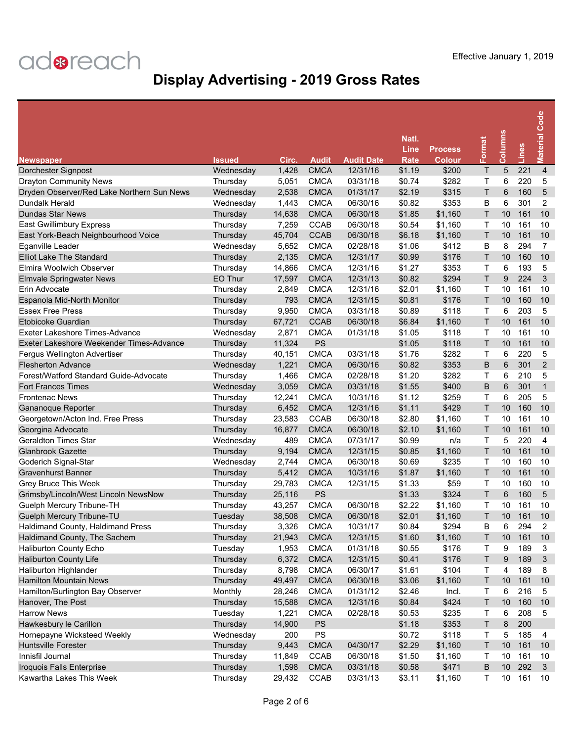| <b>Newspaper</b>                                                         | <b>Issued</b>       | Circ.  | <b>Audit</b>               | <b>Audit Date</b> | Natl.<br>Line<br>Rate | <b>Process</b><br><b>Colour</b> | Format      | <b>Columns</b> | Lines | <b>Material Code</b> |
|--------------------------------------------------------------------------|---------------------|--------|----------------------------|-------------------|-----------------------|---------------------------------|-------------|----------------|-------|----------------------|
| Dorchester Signpost                                                      | Wednesday           | 1,428  | <b>CMCA</b>                | 12/31/16          | \$1.19                | \$200                           | Τ           | 5              | 221   | $\overline{4}$       |
| <b>Drayton Community News</b>                                            | Thursday            | 5,051  | <b>CMCA</b>                | 03/31/18          | \$0.74                | \$282                           | Τ           | 6              | 220   | 5                    |
| Dryden Observer/Red Lake Northern Sun News                               | Wednesday           | 2,538  | <b>CMCA</b>                | 01/31/17          | \$2.19                | \$315                           | T           | 6              | 160   | 5                    |
| Dundalk Herald                                                           | Wednesday           | 1,443  | <b>CMCA</b>                | 06/30/16          | \$0.82                | \$353                           | B           | 6              | 301   | 2                    |
| <b>Dundas Star News</b>                                                  | Thursday            | 14,638 | <b>CMCA</b>                | 06/30/18          | \$1.85                | \$1,160                         | T           | 10             | 161   | 10                   |
| East Gwillimbury Express                                                 | Thursday            | 7,259  | <b>CCAB</b>                | 06/30/18          | \$0.54                | \$1,160                         | Τ           | 10             | 161   | 10                   |
| East York-Beach Neighbourhood Voice                                      | Thursday            | 45,704 | <b>CCAB</b>                | 06/30/18          | \$6.18                | \$1,160                         | T           | 10             | 161   | 10                   |
| Eganville Leader                                                         | Wednesday           | 5,652  | <b>CMCA</b>                | 02/28/18          | \$1.06                | \$412                           | B           | 8              | 294   | 7                    |
| <b>Elliot Lake The Standard</b>                                          | Thursday            | 2,135  | <b>CMCA</b>                | 12/31/17          | \$0.99                | \$176                           | T           | 10             | 160   | 10                   |
| Elmira Woolwich Observer                                                 | Thursday            | 14,866 | <b>CMCA</b>                | 12/31/16          | \$1.27                | \$353                           | Т           | 6              | 193   | 5                    |
| <b>Elmvale Springwater News</b>                                          | EO Thur             | 17,597 | <b>CMCA</b>                | 12/31/13          | \$0.82                | \$294                           | T           | 9              | 224   | 3                    |
| Erin Advocate                                                            | Thursday            | 2,849  | <b>CMCA</b>                | 12/31/16          | \$2.01                | \$1,160                         | т           | 10             | 161   | 10                   |
| Espanola Mid-North Monitor                                               | Thursday            | 793    | <b>CMCA</b>                | 12/31/15          | \$0.81                | \$176                           | T           | 10             | 160   | 10                   |
| <b>Essex Free Press</b>                                                  | Thursday            | 9,950  | <b>CMCA</b>                | 03/31/18          | \$0.89                | \$118                           | Τ           | 6              | 203   | 5                    |
| Etobicoke Guardian                                                       | Thursday            | 67,721 | <b>CCAB</b>                | 06/30/18          | \$6.84                | \$1,160                         | T           | 10             | 161   | 10                   |
| Exeter Lakeshore Times-Advance                                           | Wednesday           | 2,871  | <b>CMCA</b>                | 01/31/18          | \$1.05                | \$118                           | Τ           | 10             | 161   | 10                   |
| Exeter Lakeshore Weekender Times-Advance                                 | Thursday            | 11,324 | PS                         |                   | \$1.05                | \$118                           | T           | 10             | 161   | 10                   |
| <b>Fergus Wellington Advertiser</b>                                      | Thursday            | 40,151 | <b>CMCA</b>                | 03/31/18          | \$1.76                | \$282                           | т           | 6              | 220   | 5                    |
| <b>Flesherton Advance</b>                                                | Wednesday           | 1,221  | <b>CMCA</b>                | 06/30/16          | \$0.82                | \$353                           | B           | 6              | 301   | $\overline{2}$       |
| Forest/Watford Standard Guide-Advocate                                   | Thursday            | 1,466  | <b>CMCA</b>                | 02/28/18          | \$1.20                | \$282                           | Τ           | 6              | 210   | 5                    |
| <b>Fort Frances Times</b>                                                | Wednesday           | 3,059  | <b>CMCA</b>                | 03/31/18          | \$1.55                | \$400                           | B           | 6              | 301   | $\mathbf{1}$         |
| <b>Frontenac News</b>                                                    | Thursday            | 12,241 | <b>CMCA</b>                | 10/31/16          | \$1.12                | \$259                           | Τ           | 6              | 205   | 5                    |
| <b>Gananoque Reporter</b>                                                | Thursday            | 6,452  | <b>CMCA</b>                | 12/31/16          | \$1.11                | \$429                           | T           | 10             | 160   | 10                   |
| Georgetown/Acton Ind. Free Press                                         | Thursday            | 23,583 | <b>CCAB</b>                | 06/30/18          | \$2.80                | \$1,160                         | Τ           | 10             | 161   | 10                   |
| Georgina Advocate                                                        | Thursday            | 16,877 | <b>CMCA</b>                | 06/30/18          | \$2.10                | \$1,160                         | T           | 10             | 161   | 10                   |
| <b>Geraldton Times Star</b>                                              | Wednesday           | 489    | <b>CMCA</b>                | 07/31/17          | \$0.99                | n/a                             | Т           | 5              | 220   | $\overline{4}$       |
| <b>Glanbrook Gazette</b>                                                 | Thursday            | 9,194  | <b>CMCA</b>                | 12/31/15          | \$0.85                | \$1,160                         | T           | 10             | 161   | 10                   |
| Goderich Signal-Star                                                     | Wednesday           | 2,744  | <b>CMCA</b>                | 06/30/18          | \$0.69                | \$235                           | Τ           | 10             | 160   | 10                   |
| <b>Gravenhurst Banner</b>                                                | Thursday            | 5,412  | <b>CMCA</b>                | 10/31/16          | \$1.87                | \$1,160                         | T           | 10             | 161   | 10                   |
|                                                                          |                     |        | <b>CMCA</b>                |                   | \$1.33                |                                 | т           | 10             | 160   | 10                   |
| Grey Bruce This Week                                                     | Thursday            | 29,783 | <b>PS</b>                  | 12/31/15          |                       | \$59<br>\$324                   | T           | 6              | 160   | $\sqrt{5}$           |
| Grimsby/Lincoln/West Lincoln NewsNow<br><b>Guelph Mercury Tribune-TH</b> | Thursday            | 25,116 |                            | 06/30/18          | \$1.33<br>\$2.22      |                                 | т           | 10             | 161   | 10                   |
| <b>Guelph Mercury Tribune-TU</b>                                         | Thursday<br>Tuesday | 43,257 | <b>CMCA</b><br><b>CMCA</b> | 06/30/18          | \$2.01                | \$1,160                         | т           | 10             | 161   | 10                   |
|                                                                          |                     | 38,508 | <b>CMCA</b>                | 10/31/17          | \$0.84                | \$1,160<br>\$294                | B           | 6              | 294   | 2                    |
| Haldimand County, Haldimand Press                                        | Thursday            | 3,326  |                            |                   |                       |                                 |             |                |       |                      |
| Haldimand County, The Sachem<br>Haliburton County Echo                   | Thursday            | 21,943 | <b>CMCA</b>                | 12/31/15          | \$1.60                | \$1,160                         | Т           | 10             | 161   | 10                   |
|                                                                          | Tuesday             | 1,953  | <b>CMCA</b>                | 01/31/18          | \$0.55                | \$176                           | Т           | 9              | 189   | 3                    |
| <b>Haliburton County Life</b>                                            | Thursday            | 6,372  | <b>CMCA</b>                | 12/31/15          | \$0.41                | \$176                           | $\mathsf T$ | 9              | 189   | $\mathbf{3}$         |
| Haliburton Highlander<br><b>Hamilton Mountain News</b>                   | Thursday            | 8,798  | <b>CMCA</b>                | 06/30/17          | \$1.61                | \$104                           | Τ           | 4              | 189   | 8                    |
|                                                                          | Thursday            | 49,497 | <b>CMCA</b>                | 06/30/18          | \$3.06                | \$1,160                         | Τ           | 10             | 161   | 10                   |
| Hamilton/Burlington Bay Observer                                         | Monthly             | 28,246 | <b>CMCA</b>                | 01/31/12          | \$2.46                | Incl.                           | т           | 6              | 216   | 5                    |
| Hanover, The Post                                                        | Thursday            | 15,588 | <b>CMCA</b>                | 12/31/16          | \$0.84                | \$424                           | $\mathsf T$ | 10             | 160   | 10                   |
| <b>Harrow News</b>                                                       | Tuesday             | 1,221  | <b>CMCA</b>                | 02/28/18          | \$0.53                | \$235                           | Т           | 6              | 208   | 5                    |
| Hawkesbury le Carillon                                                   | Thursday            | 14,900 | <b>PS</b>                  |                   | \$1.18                | \$353                           | $\sf T$     | 8              | 200   |                      |
| Hornepayne Wicksteed Weekly                                              | Wednesday           | 200    | PS                         |                   | \$0.72                | \$118                           | Т           | 5              | 185   | 4                    |
| <b>Huntsville Forester</b>                                               | Thursday            | 9,443  | <b>CMCA</b>                | 04/30/17          | \$2.29                | \$1,160                         | Τ           | $10$           | 161   | 10                   |
| Innisfil Journal                                                         | Thursday            | 11,849 | <b>CCAB</b>                | 06/30/18          | \$1.50                | \$1,160                         | Т           | 10             | 161   | 10                   |
| Iroquois Falls Enterprise                                                | Thursday            | 1,598  | <b>CMCA</b>                | 03/31/18          | \$0.58                | \$471                           | B           | 10             | 292   | 3                    |
| Kawartha Lakes This Week                                                 | Thursday            | 29,432 | CCAB                       | 03/31/13          | \$3.11                | \$1,160                         | Τ           | 10             | 161   | 10                   |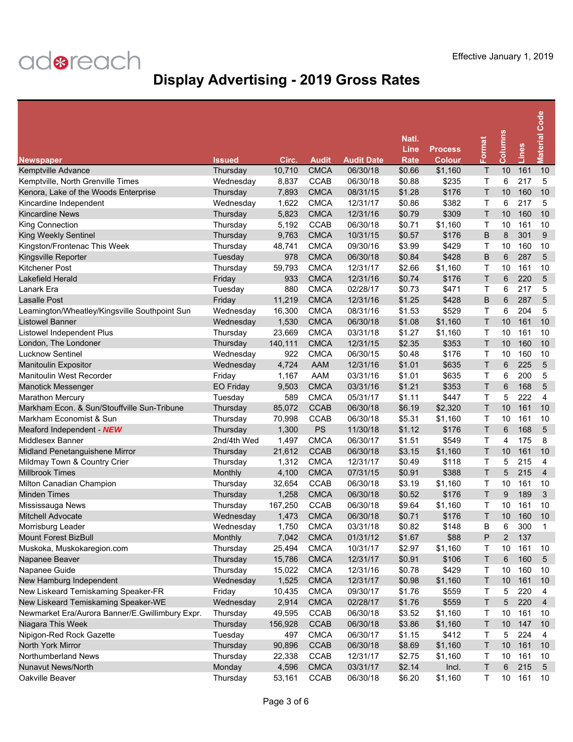| <b>Newspaper</b>                                | <b>Issued</b>    | Circ.   | <b>Audit</b> | <b>Audit Date</b> | Natl.<br>Line<br><b>Rate</b> | <b>Process</b><br><b>Colour</b> | Format | <b>Columns</b> | Lines | <b>Material Code</b> |
|-------------------------------------------------|------------------|---------|--------------|-------------------|------------------------------|---------------------------------|--------|----------------|-------|----------------------|
| Kemptville Advance                              | Thursday         | 10,710  | <b>CMCA</b>  | 06/30/18          | \$0.66                       | \$1,160                         | Τ      | 10             | 161   | 10                   |
| Kemptville, North Grenville Times               | Wednesday        | 8,837   | <b>CCAB</b>  | 06/30/18          | \$0.88                       | \$235                           | т      | 6              | 217   | 5                    |
| Kenora, Lake of the Woods Enterprise            | Thursday         | 7,893   | <b>CMCA</b>  | 08/31/15          | \$1.28                       | \$176                           | T      | 10             | 160   | 10                   |
| Kincardine Independent                          | Wednesday        | 1,622   | <b>CMCA</b>  | 12/31/17          | \$0.86                       | \$382                           | Τ      | 6              | 217   | 5                    |
| <b>Kincardine News</b>                          | Thursday         | 5,823   | <b>CMCA</b>  | 12/31/16          | \$0.79                       | \$309                           | т      | 10             | 160   | 10                   |
| King Connection                                 | Thursday         | 5,192   | <b>CCAB</b>  | 06/30/18          | \$0.71                       | \$1,160                         | Τ      | 10             | 161   | 10                   |
| King Weekly Sentinel                            | Thursday         | 9,763   | <b>CMCA</b>  | 10/31/15          | \$0.57                       | \$176                           | B      | 8              | 301   | 9                    |
| Kingston/Frontenac This Week                    | Thursday         | 48,741  | <b>CMCA</b>  | 09/30/16          | \$3.99                       | \$429                           | т      | 10             | 160   | 10                   |
| Kingsville Reporter                             | Tuesday          | 978     | <b>CMCA</b>  | 06/30/18          | \$0.84                       | \$428                           | B      | 6              | 287   | 5                    |
| Kitchener Post                                  | Thursday         | 59,793  | <b>CMCA</b>  | 12/31/17          | \$2.66                       | \$1,160                         | Τ      | 10             | 161   | 10                   |
| <b>Lakefield Herald</b>                         | Friday           | 933     | <b>CMCA</b>  | 12/31/16          | \$0.74                       | \$176                           | T      | 6              | 220   | 5                    |
| Lanark Era                                      | Tuesday          | 880     | <b>CMCA</b>  | 02/28/17          | \$0.73                       | \$471                           | т      | 6              | 217   | 5                    |
| Lasalle Post                                    | Friday           | 11,219  | <b>CMCA</b>  | 12/31/16          | \$1.25                       | \$428                           | B      | 6              | 287   | 5                    |
| Leamington/Wheatley/Kingsville Southpoint Sun   | Wednesday        | 16,300  | <b>CMCA</b>  | 08/31/16          | \$1.53                       | \$529                           | т      | 6              | 204   | 5                    |
| <b>Listowel Banner</b>                          | Wednesday        | 1,530   | <b>CMCA</b>  | 06/30/18          | \$1.08                       | \$1,160                         | т      | 10             | 161   | 10                   |
| Listowel Independent Plus                       | Thursdav         | 23,669  | <b>CMCA</b>  | 03/31/18          | \$1.27                       | \$1,160                         | т      | 10             | 161   | 10                   |
| London, The Londoner                            | Thursday         | 140,111 | <b>CMCA</b>  | 12/31/15          | \$2.35                       | \$353                           | T      | 10             | 160   | 10                   |
| <b>Lucknow Sentinel</b>                         | Wednesday        | 922     | <b>CMCA</b>  | 06/30/15          | \$0.48                       | \$176                           | т      | 10             | 160   | 10                   |
| <b>Manitoulin Expositor</b>                     | Wednesday        | 4,724   | AAM          | 12/31/16          | \$1.01                       | \$635                           | т      | 6              | 225   | 5                    |
| <b>Manitoulin West Recorder</b>                 | Friday           | 1,167   | AAM          | 03/31/16          | \$1.01                       | \$635                           | Τ      | 6              | 200   | 5                    |
| <b>Manotick Messenger</b>                       | <b>EO Friday</b> | 9,503   | <b>CMCA</b>  | 03/31/16          | \$1.21                       | \$353                           | T      | 6              | 168   | 5                    |
| <b>Marathon Mercury</b>                         | Tuesday          | 589     | <b>CMCA</b>  | 05/31/17          | \$1.11                       | \$447                           | T      | 5              | 222   | 4                    |
| Markham Econ. & Sun/Stouffville Sun-Tribune     | Thursday         | 85,072  | <b>CCAB</b>  | 06/30/18          | \$6.19                       | \$2,320                         | T      | 10             | 161   | 10                   |
| Markham Economist & Sun                         | Thursday         | 70,998  | CCAB         | 06/30/18          | \$5.31                       | \$1,160                         | т      | 10             | 161   | 10                   |
| Meaford Independent - NEW                       | Thursday         | 1,300   | <b>PS</b>    | 11/30/18          | \$1.12                       | \$176                           | T      | 6              | 168   | 5                    |
| Middlesex Banner                                | 2nd/4th Wed      | 1,497   | <b>CMCA</b>  | 06/30/17          | \$1.51                       | \$549                           | Τ      | 4              | 175   | 8                    |
| Midland Penetanguishene Mirror                  | Thursday         | 21,612  | <b>CCAB</b>  | 06/30/18          | \$3.15                       | \$1,160                         | т      | 10             | 161   | 10                   |
| Mildmay Town & Country Crier                    | Thursday         | 1,312   | <b>CMCA</b>  | 12/31/17          | \$0.49                       | \$118                           | Τ      | 5              | 215   | 4                    |
| <b>Millbrook Times</b>                          | Monthly          | 4,100   | <b>CMCA</b>  | 07/31/15          | \$0.91                       | \$388                           | T      | 5              | 215   | $\overline{4}$       |
| Milton Canadian Champion                        | Thursday         | 32,654  | CCAB         | 06/30/18          | \$3.19                       | \$1,160                         | т      | 10             | 161   | 10                   |
| <b>Minden Times</b>                             | Thursday         | 1,258   | <b>CMCA</b>  | 06/30/18          | \$0.52                       | \$176                           | т      | 9              | 189   | $\sqrt{3}$           |
| Mississauga News                                | Thursday         | 167,250 | <b>CCAB</b>  | 06/30/18          | \$9.64                       | \$1,160                         | т      | 10             | 161   | 10                   |
| <b>Mitchell Advocate</b>                        | Wednesday        | 1,473   | <b>CMCA</b>  | 06/30/18          | \$0.71                       | \$176                           | т      | 10             | 160   | 10                   |
| Morrisburg Leader                               | Wednesday        | 1,750   | <b>CMCA</b>  | 03/31/18          | \$0.82                       | \$148                           | B      | 6              | 300   | 1                    |
| Mount Forest BizBull                            | Monthly          | 7,042   | <b>CMCA</b>  | 01/31/12          | \$1.67                       | \$88                            | P      | $\overline{2}$ | 137   |                      |
| Muskoka, Muskokaregion.com                      | Thursday         | 25,494  | <b>CMCA</b>  | 10/31/17          | \$2.97                       | \$1,160                         | Т      | 10             | 161   | 10                   |
| Napanee Beaver                                  | Thursday         | 15,786  | <b>CMCA</b>  | 12/31/17          | \$0.91                       | \$106                           | Τ      | 6              | 160   | $\sqrt{5}$           |
| Napanee Guide                                   | Thursday         | 15,022  | <b>CMCA</b>  | 12/31/16          | \$0.78                       | \$429                           | Т      | 10             | 160   | 10                   |
| New Hamburg Independent                         | Wednesday        | 1,525   | <b>CMCA</b>  | 12/31/17          | \$0.98                       | \$1,160                         | Τ      | 10             | 161   | 10                   |
| New Liskeard Temiskaming Speaker-FR             | Friday           | 10,435  | <b>CMCA</b>  | 09/30/17          | \$1.76                       | \$559                           | Т      | 5              | 220   | 4                    |
| New Liskeard Temiskaming Speaker-WE             | Wednesday        | 2,914   | <b>CMCA</b>  | 02/28/17          | \$1.76                       | \$559                           | Τ      | 5              | 220   | $\overline{4}$       |
| Newmarket Era/Aurora Banner/E.Gwillimbury Expr. | Thursday         | 49,595  | CCAB         | 06/30/18          | \$3.52                       | \$1,160                         | Т      | 10             | 161   | 10                   |
| Niagara This Week                               | Thursday         | 156,928 | <b>CCAB</b>  | 06/30/18          | \$3.86                       | \$1,160                         | Т      | 10             | 147   | 10                   |
| Nipigon-Red Rock Gazette                        | Tuesday          | 497     | <b>CMCA</b>  | 06/30/17          | \$1.15                       | \$412                           | Т      | 5              | 224   | 4                    |
| North York Mirror                               | Thursday         | 90,896  | <b>CCAB</b>  | 06/30/18          | \$8.69                       | \$1,160                         | т      | 10             | 161   | 10                   |
| Northumberland News                             | Thursday         | 22,338  | <b>CCAB</b>  | 12/31/17          | \$2.75                       | \$1,160                         | Т      | 10             | 161   | 10                   |
| Nunavut News/North                              | Monday           | 4,596   | <b>CMCA</b>  | 03/31/17          | \$2.14                       | Incl.                           | Τ      | 6              | 215   | $5\phantom{.0}$      |
| Oakville Beaver                                 | Thursday         | 53,161  | CCAB         | 06/30/18          | \$6.20                       | \$1,160                         | т      | 10             | 161   | 10                   |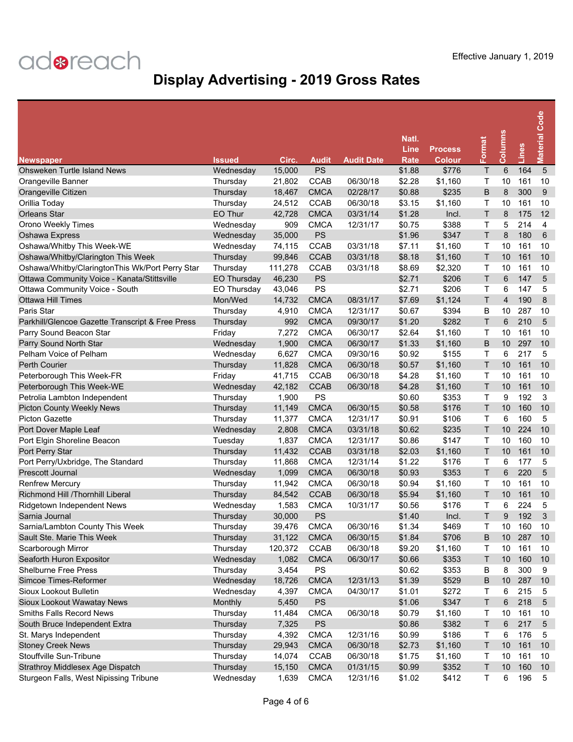| <b>Newspaper</b>                                 | <b>Issued</b>      | Circ.   | Audit       | <b>Audit Date</b> | Natl.<br>Line<br>Rate | <b>Process</b><br><b>Colour</b> | Format       | Columns | Lines | <b>Material Code</b> |
|--------------------------------------------------|--------------------|---------|-------------|-------------------|-----------------------|---------------------------------|--------------|---------|-------|----------------------|
| <b>Ohsweken Turtle Island News</b>               | Wednesday          | 15,000  | <b>PS</b>   |                   | \$1.88                | \$776                           | Τ            | 6       | 164   | $5\phantom{1}$       |
| Orangeville Banner                               | Thursday           | 21,802  | <b>CCAB</b> | 06/30/18          | \$2.28                | \$1,160                         | Τ            | 10      | 161   | 10                   |
| Orangeville Citizen                              | Thursday           | 18,467  | <b>CMCA</b> | 02/28/17          | \$0.88                | \$235                           | B            | 8       | 300   | 9                    |
| Orillia Today                                    | Thursday           | 24,512  | <b>CCAB</b> | 06/30/18          | \$3.15                | \$1,160                         | Τ            | 10      | 161   | 10                   |
| <b>Orleans Star</b>                              | EO Thur            | 42,728  | <b>CMCA</b> | 03/31/14          | \$1.28                | Incl.                           | T            | 8       | 175   | 12                   |
| Orono Weekly Times                               | Wednesday          | 909     | <b>CMCA</b> | 12/31/17          | \$0.75                | \$388                           | т            | 5       | 214   | $\overline{4}$       |
| Oshawa Express                                   | Wednesday          | 35,000  | PS          |                   | \$1.96                | \$347                           | T            | 8       | 180   | 6                    |
| Oshawa/Whitby This Week-WE                       | Wednesday          | 74,115  | <b>CCAB</b> | 03/31/18          | \$7.11                | \$1,160                         | Т            | 10      | 161   | 10                   |
| Oshawa/Whitby/Clarington This Week               | Thursday           | 99,846  | <b>CCAB</b> | 03/31/18          | \$8.18                | \$1,160                         | T            | 10      | 161   | 10                   |
| Oshawa/Whitby/ClaringtonThis Wk/Port Perry Star  | Thursday           | 111,278 | <b>CCAB</b> | 03/31/18          | \$8.69                | \$2,320                         | Т            | 10      | 161   | 10                   |
| Ottawa Community Voice - Kanata/Stittsville      | <b>EO Thursday</b> | 46,230  | PS          |                   | \$2.71                | \$206                           | T            | 6       | 147   | 5                    |
| Ottawa Community Voice - South                   | <b>EO Thursday</b> | 43,046  | PS          |                   | \$2.71                | \$206                           | т            | 6       | 147   | 5                    |
| <b>Ottawa Hill Times</b>                         | Mon/Wed            | 14,732  | <b>CMCA</b> | 08/31/17          | \$7.69                | \$1,124                         | T            | 4       | 190   | 8                    |
| Paris Star                                       | Thursday           | 4,910   | <b>CMCA</b> | 12/31/17          | \$0.67                | \$394                           | B            | 10      | 287   | 10                   |
| Parkhill/Glencoe Gazette Transcript & Free Press | Thursday           | 992     | <b>CMCA</b> | 09/30/17          | \$1.20                | \$282                           | T            | 6       | 210   | 5                    |
| Parry Sound Beacon Star                          | Friday             | 7,272   | <b>CMCA</b> | 06/30/17          | \$2.64                | \$1,160                         | Τ            | 10      | 161   | 10                   |
| Parry Sound North Star                           | Wednesday          | 1,900   | <b>CMCA</b> | 06/30/17          | \$1.33                | \$1,160                         | B            | 10      | 297   | 10                   |
| Pelham Voice of Pelham                           | Wednesday          | 6,627   | <b>CMCA</b> | 09/30/16          | \$0.92                | \$155                           | Τ            | 6       | 217   | 5                    |
| <b>Perth Courier</b>                             | Thursday           | 11,828  | <b>CMCA</b> | 06/30/18          | \$0.57                | \$1,160                         | T            | 10      | 161   | 10                   |
| Peterborough This Week-FR                        | Friday             | 41,715  | <b>CCAB</b> | 06/30/18          | \$4.28                | \$1,160                         | Τ            | 10      | 161   | 10                   |
| Peterborough This Week-WE                        | Wednesday          | 42,182  | <b>CCAB</b> | 06/30/18          | \$4.28                | \$1,160                         | T            | 10      | 161   | 10                   |
| Petrolia Lambton Independent                     | Thursday           | 1,900   | PS          |                   | \$0.60                | \$353                           | T            | 9       | 192   | 3                    |
| <b>Picton County Weekly News</b>                 | Thursday           | 11,149  | <b>CMCA</b> | 06/30/15          | \$0.58                | \$176                           | T            | 10      | 160   | 10                   |
| <b>Picton Gazette</b>                            | Thursday           | 11,377  | <b>CMCA</b> | 12/31/17          | \$0.91                | \$106                           | Т            | 6       | 160   | 5                    |
| Port Dover Maple Leaf                            | Wednesday          | 2,808   | <b>CMCA</b> | 03/31/18          | \$0.62                | \$235                           | T            | 10      | 224   | 10                   |
| Port Elgin Shoreline Beacon                      | Tuesday            | 1,837   | <b>CMCA</b> | 12/31/17          | \$0.86                | \$147                           | Τ            | 10      | 160   | 10                   |
| Port Perry Star                                  | Thursday           | 11,432  | <b>CCAB</b> | 03/31/18          | \$2.03                | \$1,160                         | T            | 10      | 161   | 10                   |
| Port Perry/Uxbridge, The Standard                | Thursday           | 11,868  | <b>CMCA</b> | 12/31/14          | \$1.22                | \$176                           | Τ            | 6       | 177   | 5                    |
| Prescott Journal                                 | Wednesday          | 1,099   | <b>CMCA</b> | 06/30/18          | \$0.93                | \$353                           | T            | 6       | 220   | 5                    |
| <b>Renfrew Mercury</b>                           | Thursday           | 11,942  | <b>CMCA</b> | 06/30/18          | \$0.94                | \$1,160                         | т            | 10      | 161   | 10                   |
| Richmond Hill /Thornhill Liberal                 | Thursday           | 84,542  | <b>CCAB</b> | 06/30/18          | \$5.94                | \$1,160                         | T            | 10      | 161   | 10                   |
| Ridgetown Independent News                       | Wednesday          | 1,583   | <b>CMCA</b> | 10/31/17          | \$0.56                | \$176                           | т            | 6       | 224   | 5                    |
| Sarnia Journal                                   | Thursday           | 30,000  | PS          |                   | \$1.40                | Incl.                           | Τ            | 9       | 192   | 3                    |
| Sarnia/Lambton County This Week                  | Thursday           | 39.476  | <b>CMCA</b> | 06/30/16          | \$1.34                | \$469                           | т            | 10      | 160   | 10                   |
| Sault Ste. Marie This Week                       | Thursday           | 31,122  | <b>CMCA</b> | 06/30/15          | \$1.84                | \$706                           | B            | 10      | 287   | 10                   |
| Scarborough Mirror                               | Thursday           | 120,372 | CCAB        | 06/30/18          | \$9.20                | \$1,160                         | т            | 10      | 161   | 10                   |
| Seaforth Huron Expositor                         | Wednesday          | 1,082   | <b>CMCA</b> | 06/30/17          | \$0.66                | \$353                           | Τ            | 10      | 160   | 10                   |
| <b>Shelburne Free Press</b>                      | Thursday           | 3,454   | PS          |                   | \$0.62                | \$353                           | B            | 8       | 300   | 9                    |
| Simcoe Times-Reformer                            | Wednesday          | 18,726  | <b>CMCA</b> | 12/31/13          | \$1.39                | \$529                           | B            | 10      | 287   | 10                   |
| Sioux Lookout Bulletin                           | Wednesday          | 4,397   | <b>CMCA</b> | 04/30/17          | \$1.01                | \$272                           | т            | 6       | 215   | 5                    |
| Sioux Lookout Wawatay News                       | Monthly            | 5,450   | <b>PS</b>   |                   | \$1.06                | \$347                           | $\mathsf{T}$ | 6       | 218   | 5                    |
| Smiths Falls Record News                         | Thursday           | 11,484  | <b>CMCA</b> | 06/30/18          | \$0.79                | \$1,160                         | Т            | 10      | 161   | 10                   |
| South Bruce Independent Extra                    | Thursday           | 7,325   | PS          |                   | \$0.86                | \$382                           | T            | 6       | 217   | $\sqrt{5}$           |
| St. Marys Independent                            | Thursday           | 4,392   | <b>CMCA</b> | 12/31/16          | \$0.99                | \$186                           | Т            | 6       | 176   | 5                    |
| <b>Stoney Creek News</b>                         | Thursday           | 29,943  | <b>CMCA</b> | 06/30/18          | \$2.73                | \$1,160                         | Τ            | $10$    | 161   | 10                   |
| Stouffville Sun-Tribune                          | Thursday           | 14,074  | <b>CCAB</b> | 06/30/18          | \$1.75                | \$1,160                         | Т            | 10      | 161   | 10                   |
| Strathroy Middlesex Age Dispatch                 | Thursday           | 15,150  | <b>CMCA</b> | 01/31/15          | \$0.99                | \$352                           | Τ            | 10      | 160   | 10                   |
| Sturgeon Falls, West Nipissing Tribune           | Wednesday          | 1,639   | <b>CMCA</b> | 12/31/16          | \$1.02                | \$412                           | T            | 6       | 196   | 5                    |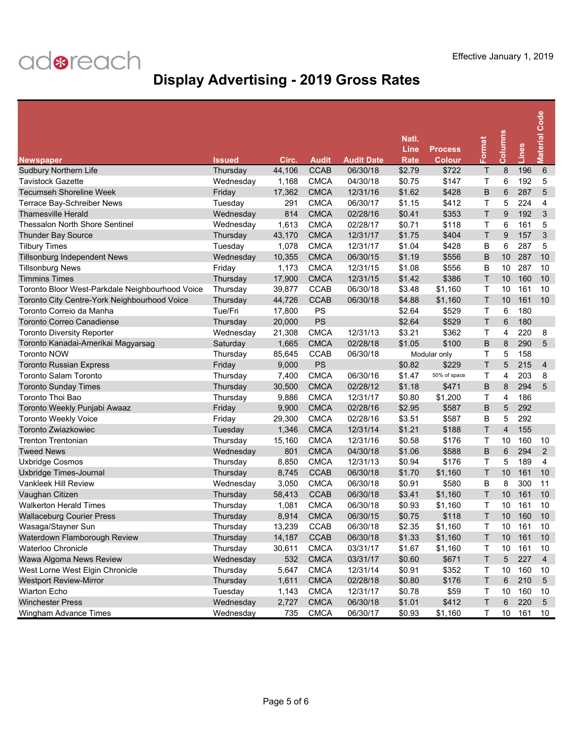| <b>Newspaper</b>                                | Issued    | Circ.  | <b>Audit</b> | <b>Audit Date</b> | Natl.<br>Line<br>Rate | <b>Process</b><br><b>Colour</b> | Format | <b>Columns</b> | Lines | <b>Material Code</b> |
|-------------------------------------------------|-----------|--------|--------------|-------------------|-----------------------|---------------------------------|--------|----------------|-------|----------------------|
| <b>Sudbury Northern Life</b>                    | Thursday  | 44,106 | <b>CCAB</b>  | 06/30/18          | \$2.79                | \$722                           | Τ      | 8              | 196   | $6\phantom{1}6$      |
| <b>Tavistock Gazette</b>                        | Wednesday | 1,168  | <b>CMCA</b>  | 04/30/18          | \$0.75                | \$147                           | Τ      | 6              | 192   | 5                    |
| <b>Tecumseh Shoreline Week</b>                  | Friday    | 17,362 | <b>CMCA</b>  | 12/31/16          | \$1.62                | \$428                           | B      | 6              | 287   | 5                    |
| Terrace Bay-Schreiber News                      | Tuesday   | 291    | <b>CMCA</b>  | 06/30/17          | \$1.15                | \$412                           | Τ      | 5              | 224   | 4                    |
| <b>Thamesville Herald</b>                       | Wednesday | 814    | <b>CMCA</b>  | 02/28/16          | \$0.41                | \$353                           | T.     | 9              | 192   | 3                    |
| <b>Thessalon North Shore Sentinel</b>           | Wednesday | 1,613  | <b>CMCA</b>  | 02/28/17          | \$0.71                | \$118                           | Τ      | 6              | 161   | 5                    |
| Thunder Bay Source                              | Thursday  | 43,170 | <b>CMCA</b>  | 12/31/17          | \$1.75                | \$404                           | T      | 9              | 157   | 3                    |
| <b>Tilbury Times</b>                            | Tuesday   | 1,078  | <b>CMCA</b>  | 12/31/17          | \$1.04                | \$428                           | B      | 6              | 287   | 5                    |
| <b>Tillsonburg Independent News</b>             | Wednesday | 10,355 | <b>CMCA</b>  | 06/30/15          | \$1.19                | \$556                           | B      | 10             | 287   | 10                   |
| <b>Tillsonburg News</b>                         | Friday    | 1,173  | <b>CMCA</b>  | 12/31/15          | \$1.08                | \$556                           | B      | 10             | 287   | 10                   |
| <b>Timmins Times</b>                            | Thursday  | 17,900 | <b>CMCA</b>  | 12/31/15          | \$1.42                | \$386                           | Τ      | 10             | 160   | 10                   |
| Toronto Bloor West-Parkdale Neighbourhood Voice | Thursday  | 39,877 | <b>CCAB</b>  | 06/30/18          | \$3.48                | \$1,160                         | Τ      | 10             | 161   | 10                   |
| Toronto City Centre-York Neighbourhood Voice    | Thursday  | 44,726 | <b>CCAB</b>  | 06/30/18          | \$4.88                | \$1,160                         | T      | 10             | 161   | 10                   |
| Toronto Correio da Manha                        | Tue/Fri   | 17,800 | PS           |                   | \$2.64                | \$529                           | Т      | 6              | 180   |                      |
| <b>Toronto Correo Canadiense</b>                | Thursday  | 20,000 | PS           |                   | \$2.64                | \$529                           | T      | 6              | 180   |                      |
| <b>Toronto Diversity Reporter</b>               | Wednesday | 21,308 | <b>CMCA</b>  | 12/31/13          | \$3.21                | \$362                           | Τ      | 4              | 220   | 8                    |
| Toronto Kanadai-Amerikai Magyarsag              | Saturday  | 1,665  | <b>CMCA</b>  | 02/28/18          | \$1.05                | \$100                           | B      | 8              | 290   | 5                    |
| <b>Toronto NOW</b>                              | Thursday  | 85,645 | <b>CCAB</b>  | 06/30/18          |                       | Modular only                    | Τ      | 5              | 158   |                      |
| <b>Toronto Russian Express</b>                  | Friday    | 9,000  | PS           |                   | \$0.82                | \$229                           | T      | 5              | 215   | $\overline{4}$       |
| <b>Toronto Salam Toronto</b>                    | Thursday  | 7,400  | <b>CMCA</b>  | 06/30/16          | \$1.47                | 50% of space                    | Τ      | 4              | 203   | 8                    |
| <b>Toronto Sunday Times</b>                     | Thursday  | 30,500 | <b>CMCA</b>  | 02/28/12          | \$1.18                | \$471                           | B      | 8              | 294   | 5                    |
| Toronto Thoi Bao                                | Thursday  | 9,886  | <b>CMCA</b>  | 12/31/17          | \$0.80                | \$1,200                         | Τ      | 4              | 186   |                      |
| Toronto Weekly Punjabi Awaaz                    | Friday    | 9,900  | <b>CMCA</b>  | 02/28/16          | \$2.95                | \$587                           | B      | 5              | 292   |                      |
| <b>Toronto Weekly Voice</b>                     | Friday    | 29,300 | <b>CMCA</b>  | 02/28/16          | \$3.51                | \$587                           | B      | 5              | 292   |                      |
| <b>Toronto Zwiazkowiec</b>                      | Tuesday   | 1,346  | <b>CMCA</b>  | 12/31/14          | \$1.21                | \$188                           | T      | $\overline{4}$ | 155   |                      |
| Trenton Trentonian                              | Thursday  | 15,160 | <b>CMCA</b>  | 12/31/16          | \$0.58                | \$176                           | Τ      | 10             | 160   | 10                   |
| <b>Tweed News</b>                               | Wednesday | 801    | <b>CMCA</b>  | 04/30/18          | \$1.06                | \$588                           | B      | 6              | 294   | 2                    |
| Uxbridge Cosmos                                 | Thursday  | 8,850  | <b>CMCA</b>  | 12/31/13          | \$0.94                | \$176                           | Τ      | 5              | 189   | 4                    |
| Uxbridge Times-Journal                          | Thursday  | 8,745  | <b>CCAB</b>  | 06/30/18          | \$1.70                | \$1,160                         | T      | 10             | 161   | 10                   |
| <b>Vankleek Hill Review</b>                     | Wednesday | 3,050  | <b>CMCA</b>  | 06/30/18          | \$0.91                | \$580                           | B      | 8              | 300   | 11                   |
| Vaughan Citizen                                 | Thursday  | 58,413 | <b>CCAB</b>  | 06/30/18          | \$3.41                | \$1,160                         | Т      | 10             | 161   | 10                   |
| <b>Walkerton Herald Times</b>                   | Thursday  | 1,081  | <b>CMCA</b>  | 06/30/18          | \$0.93                | \$1,160                         | т      | 10             | 161   | 10                   |
| <b>Wallaceburg Courier Press</b>                | Thursday  | 8,914  | <b>CMCA</b>  | 06/30/15          | \$0.75                | \$118                           | T      | 10             | 160   | 10                   |
| Wasaga/Stayner Sun                              | Thursdav  | 13,239 | <b>CCAB</b>  | 06/30/18          | \$2.35                | \$1,160                         | T      | 10             | 161   | 10                   |
| Waterdown Flamborough Review                    | Thursday  | 14,187 | <b>CCAB</b>  | 06/30/18          | \$1.33                | \$1,160                         | Τ      | 10             | 161   | 10                   |
| Waterloo Chronicle                              | Thursday  | 30,611 | <b>CMCA</b>  | 03/31/17          | \$1.67                | \$1,160                         | Τ      | $10$           | 161   | 10                   |
| Wawa Algoma News Review                         | Wednesday | 532    | <b>CMCA</b>  | 03/31/17          | \$0.60                | \$671                           | T      | 5              | 227   | $\overline{4}$       |
| West Lorne West Elgin Chronicle                 | Thursday  | 5,647  | <b>CMCA</b>  | 12/31/14          | \$0.91                | \$352                           | Τ      | 10             | 160   | 10                   |
| <b>Westport Review-Mirror</b>                   | Thursday  | 1,611  | <b>CMCA</b>  | 02/28/18          | \$0.80                | \$176                           | T      | 6              | 210   | $\overline{5}$       |
| Wiarton Echo                                    | Tuesday   | 1,143  | <b>CMCA</b>  | 12/31/17          | \$0.78                | \$59                            | т      | 10             | 160   | 10                   |
| <b>Winchester Press</b>                         | Wednesday | 2,727  | <b>CMCA</b>  | 06/30/18          | \$1.01                | \$412                           | T      | 6              | 220   | $\overline{5}$       |
| Wingham Advance Times                           | Wednesday | 735    | <b>CMCA</b>  | 06/30/17          | \$0.93                | \$1,160                         | Τ      | 10             | 161   | 10                   |